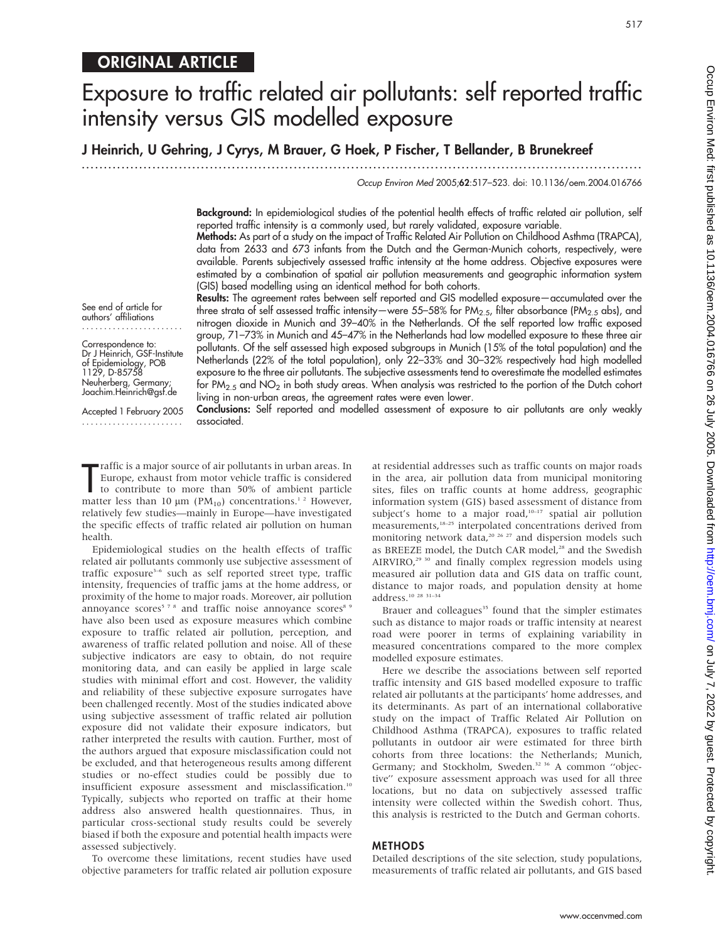517

# ORIGINAL ARTICLE

# Exposure to traffic related air pollutants: self reported traffic intensity versus GIS modelled exposure

J Heinrich, U Gehring, J Cyrys, M Brauer, G Hoek, P Fischer, T Bellander, B Brunekreef

...............................................................................................................................

Occup Environ Med 2005;62:517–523. doi: 10.1136/oem.2004.016766

Background: In epidemiological studies of the potential health effects of traffic related air pollution, self reported traffic intensity is a commonly used, but rarely validated, exposure variable.

Methods: As part of a study on the impact of Traffic Related Air Pollution on Childhood Asthma (TRAPCA), data from 2633 and 673 infants from the Dutch and the German-Munich cohorts, respectively, were available. Parents subjectively assessed traffic intensity at the home address. Objective exposures were estimated by a combination of spatial air pollution measurements and geographic information system (GIS) based modelling using an identical method for both cohorts.

See end of article for authors' affiliations .......................

Correspondence to: Dr J Heinrich, GSF-Institute of Epidemiology, POB 1129, D-85758 Neuherberg, Germany; Joachim.Heinrich@gsf.de

Accepted 1 February 2005 .......................

Results: The agreement rates between self reported and GIS modelled exposure—accumulated over the three strata of self assessed traffic intensity—were 55–58% for PM<sub>2.5</sub>, filter absorbance (PM<sub>2.5</sub> abs), and nitrogen dioxide in Munich and 39–40% in the Netherlands. Of the self reported low traffic exposed group, 71–73% in Munich and 45–47% in the Netherlands had low modelled exposure to these three air pollutants. Of the self assessed high exposed subgroups in Munich (15% of the total population) and the Netherlands (22% of the total population), only 22–33% and 30–32% respectively had high modelled exposure to the three air pollutants. The subjective assessments tend to overestimate the modelled estimates for  $PM_{2.5}$  and  $NO<sub>2</sub>$  in both study areas. When analysis was restricted to the portion of the Dutch cohort living in non-urban areas, the agreement rates were even lower.

Conclusions: Self reported and modelled assessment of exposure to air pollutants are only weakly associated.

Traffic is a major source of air pollutants in urban areas. In<br>Europe, exhaust from motor vehicle traffic is considered<br>to contribute to more than 50% of ambient particle<br>matter less than 10 µm (PM<sub>10</sub>) concentrations.<sup>1</sup><sup></sup> raffic is a major source of air pollutants in urban areas. In Europe, exhaust from motor vehicle traffic is considered to contribute to more than 50% of ambient particle relatively few studies—mainly in Europe—have investigated the specific effects of traffic related air pollution on human health.

Epidemiological studies on the health effects of traffic related air pollutants commonly use subjective assessment of traffic exposure<sup>3-6</sup> such as self reported street type, traffic intensity, frequencies of traffic jams at the home address, or proximity of the home to major roads. Moreover, air pollution annoyance scores<sup>578</sup> and traffic noise annoyance scores<sup>89</sup> have also been used as exposure measures which combine exposure to traffic related air pollution, perception, and awareness of traffic related pollution and noise. All of these subjective indicators are easy to obtain, do not require monitoring data, and can easily be applied in large scale studies with minimal effort and cost. However, the validity and reliability of these subjective exposure surrogates have been challenged recently. Most of the studies indicated above using subjective assessment of traffic related air pollution exposure did not validate their exposure indicators, but rather interpreted the results with caution. Further, most of the authors argued that exposure misclassification could not be excluded, and that heterogeneous results among different studies or no-effect studies could be possibly due to insufficient exposure assessment and misclassification.10 Typically, subjects who reported on traffic at their home address also answered health questionnaires. Thus, in particular cross-sectional study results could be severely biased if both the exposure and potential health impacts were assessed subjectively.

To overcome these limitations, recent studies have used objective parameters for traffic related air pollution exposure at residential addresses such as traffic counts on major roads in the area, air pollution data from municipal monitoring sites, files on traffic counts at home address, geographic information system (GIS) based assessment of distance from subject's home to a major road, $10-17$  spatial air pollution measurements,18–25 interpolated concentrations derived from monitoring network data,<sup>20 26 27</sup> and dispersion models such as BREEZE model, the Dutch CAR model,<sup>28</sup> and the Swedish AIRVIRO, $29$ <sup>30</sup> and finally complex regression models using measured air pollution data and GIS data on traffic count, distance to major roads, and population density at home address.10 28 31–34

Brauer and colleagues<sup>35</sup> found that the simpler estimates such as distance to major roads or traffic intensity at nearest road were poorer in terms of explaining variability in measured concentrations compared to the more complex modelled exposure estimates.

Here we describe the associations between self reported traffic intensity and GIS based modelled exposure to traffic related air pollutants at the participants' home addresses, and its determinants. As part of an international collaborative study on the impact of Traffic Related Air Pollution on Childhood Asthma (TRAPCA), exposures to traffic related pollutants in outdoor air were estimated for three birth cohorts from three locations: the Netherlands; Munich, Germany; and Stockholm, Sweden.<sup>32 36</sup> A common "objective'' exposure assessment approach was used for all three locations, but no data on subjectively assessed traffic intensity were collected within the Swedish cohort. Thus, this analysis is restricted to the Dutch and German cohorts.

#### METHODS

Detailed descriptions of the site selection, study populations, measurements of traffic related air pollutants, and GIS based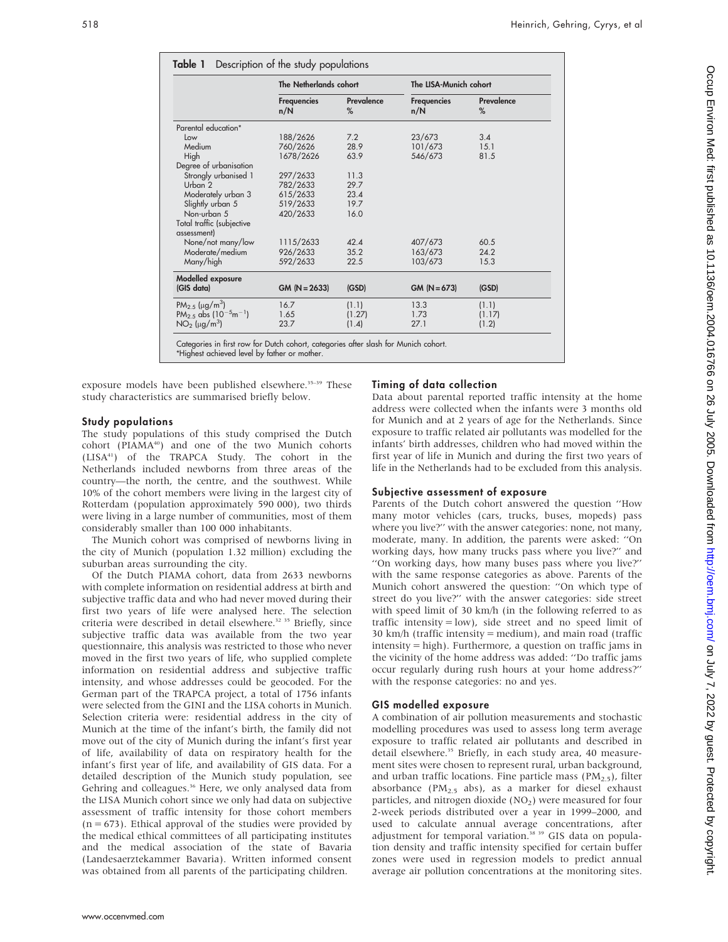|                                              | The Netherlands cohort    |                 | The LISA-Munich cohort    |                 |  |  |
|----------------------------------------------|---------------------------|-----------------|---------------------------|-----------------|--|--|
|                                              | <b>Frequencies</b><br>n/N | Prevalence<br>% | <b>Frequencies</b><br>n/N | Prevalence<br>% |  |  |
| Parental education*                          |                           |                 |                           |                 |  |  |
| Low                                          | 188/2626                  | 7.2             | 23/673                    | 3.4             |  |  |
| Medium                                       | 760/2626                  | 28.9            | 101/673                   | 15.1            |  |  |
| High                                         | 1678/2626                 | 63.9            | 546/673                   | 81.5            |  |  |
| Degree of urbanisation                       |                           |                 |                           |                 |  |  |
| Strongly urbanised 1                         | 297/2633                  | 11.3            |                           |                 |  |  |
| Urban 2                                      | 782/2633                  | 29.7            |                           |                 |  |  |
| Moderately urban 3                           | 615/2633                  | 23.4            |                           |                 |  |  |
| Slightly urban 5                             | 519/2633                  | 19.7            |                           |                 |  |  |
| Non-urban 5                                  | 420/2633                  | 16.0            |                           |                 |  |  |
| Total traffic (subjective                    |                           |                 |                           |                 |  |  |
| assessment)                                  |                           |                 |                           |                 |  |  |
| None/not many/low                            | 1115/2633                 | 42.4            | 407/673                   | 60.5            |  |  |
| Moderate/medium                              | 926/2633                  | 35.2            | 163/673                   | 24.2            |  |  |
| Many/high                                    | 592/2633                  | 22.5            | 103/673                   | 15.3            |  |  |
| Modelled exposure                            |                           |                 |                           |                 |  |  |
| (GIS data)                                   | $GM (N = 2633)$           | (GSD)           | $GM (N = 673)$            | (GSD)           |  |  |
| PM <sub>2.5</sub> ( $\mu$ g/m <sup>3</sup> ) | 16.7                      | (1.1)           | 13.3                      | (1.1)           |  |  |
| PM <sub>2.5</sub> abs $(10^{-5}m^{-1})$      | 1.65                      | (1.27)          | 1.73                      | (1.17)          |  |  |
| $NO2$ (µg/m <sup>3</sup> )                   | 23.7                      | (1.4)           | 27.1                      | (1.2)           |  |  |

exposure models have been published elsewhere.<sup>35-39</sup> These study characteristics are summarised briefly below.

#### Timing of data collection

Data about parental reported traffic intensity at the home address were collected when the infants were 3 months old for Munich and at 2 years of age for the Netherlands. Since exposure to traffic related air pollutants was modelled for the infants' birth addresses, children who had moved within the first year of life in Munich and during the first two years of life in the Netherlands had to be excluded from this analysis.

#### Subjective assessment of exposure

Parents of the Dutch cohort answered the question ''How many motor vehicles (cars, trucks, buses, mopeds) pass where you live?'' with the answer categories: none, not many, moderate, many. In addition, the parents were asked: ''On working days, how many trucks pass where you live?'' and ''On working days, how many buses pass where you live?'' with the same response categories as above. Parents of the Munich cohort answered the question: ''On which type of street do you live?'' with the answer categories: side street with speed limit of 30 km/h (in the following referred to as traffic intensity = low), side street and no speed limit of 30 km/h (traffic intensity = medium), and main road (traffic intensity = high). Furthermore, a question on traffic jams in the vicinity of the home address was added: ''Do traffic jams occur regularly during rush hours at your home address?'' with the response categories: no and yes.

#### GIS modelled exposure

A combination of air pollution measurements and stochastic modelling procedures was used to assess long term average exposure to traffic related air pollutants and described in detail elsewhere.<sup>35</sup> Briefly, in each study area, 40 measurement sites were chosen to represent rural, urban background, and urban traffic locations. Fine particle mass  $(PM<sub>2.5</sub>)$ , filter absorbance (PM<sub>2.5</sub> abs), as a marker for diesel exhaust particles, and nitrogen dioxide  $(NO<sub>2</sub>)$  were measured for four 2-week periods distributed over a year in 1999–2000, and used to calculate annual average concentrations, after adjustment for temporal variation.<sup>38</sup> 39 GIS data on population density and traffic intensity specified for certain buffer zones were used in regression models to predict annual average air pollution concentrations at the monitoring sites.

#### Study populations

The study populations of this study comprised the Dutch cohort (PIAMA<sup>40</sup>) and one of the two Munich cohorts (LISA41) of the TRAPCA Study. The cohort in the Netherlands included newborns from three areas of the country—the north, the centre, and the southwest. While 10% of the cohort members were living in the largest city of Rotterdam (population approximately 590 000), two thirds were living in a large number of communities, most of them considerably smaller than 100 000 inhabitants.

The Munich cohort was comprised of newborns living in the city of Munich (population 1.32 million) excluding the suburban areas surrounding the city.

Of the Dutch PIAMA cohort, data from 2633 newborns with complete information on residential address at birth and subjective traffic data and who had never moved during their first two years of life were analysed here. The selection criteria were described in detail elsewhere.<sup>32 35</sup> Briefly, since subjective traffic data was available from the two year questionnaire, this analysis was restricted to those who never moved in the first two years of life, who supplied complete information on residential address and subjective traffic intensity, and whose addresses could be geocoded. For the German part of the TRAPCA project, a total of 1756 infants were selected from the GINI and the LISA cohorts in Munich. Selection criteria were: residential address in the city of Munich at the time of the infant's birth, the family did not move out of the city of Munich during the infant's first year of life, availability of data on respiratory health for the infant's first year of life, and availability of GIS data. For a detailed description of the Munich study population, see Gehring and colleagues.<sup>36</sup> Here, we only analysed data from the LISA Munich cohort since we only had data on subjective assessment of traffic intensity for those cohort members  $(n = 673)$ . Ethical approval of the studies were provided by the medical ethical committees of all participating institutes and the medical association of the state of Bavaria (Landesaerztekammer Bavaria). Written informed consent was obtained from all parents of the participating children.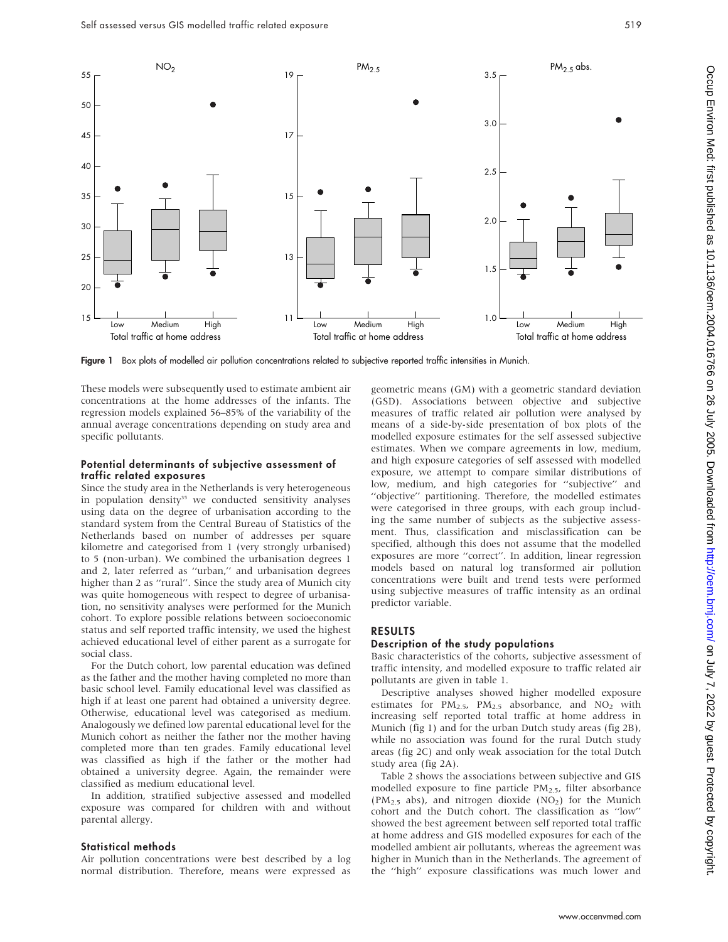

Figure 1 Box plots of modelled air pollution concentrations related to subjective reported traffic intensities in Munich.

These models were subsequently used to estimate ambient air concentrations at the home addresses of the infants. The regression models explained 56–85% of the variability of the annual average concentrations depending on study area and specific pollutants.

#### Potential determinants of subjective assessment of traffic related exposures

Since the study area in the Netherlands is very heterogeneous in population density<sup>35</sup> we conducted sensitivity analyses using data on the degree of urbanisation according to the standard system from the Central Bureau of Statistics of the Netherlands based on number of addresses per square kilometre and categorised from 1 (very strongly urbanised) to 5 (non-urban). We combined the urbanisation degrees 1 and 2, later referred as ''urban,'' and urbanisation degrees higher than 2 as ''rural''. Since the study area of Munich city was quite homogeneous with respect to degree of urbanisation, no sensitivity analyses were performed for the Munich cohort. To explore possible relations between socioeconomic status and self reported traffic intensity, we used the highest achieved educational level of either parent as a surrogate for social class.

For the Dutch cohort, low parental education was defined as the father and the mother having completed no more than basic school level. Family educational level was classified as high if at least one parent had obtained a university degree. Otherwise, educational level was categorised as medium. Analogously we defined low parental educational level for the Munich cohort as neither the father nor the mother having completed more than ten grades. Family educational level was classified as high if the father or the mother had obtained a university degree. Again, the remainder were classified as medium educational level.

In addition, stratified subjective assessed and modelled exposure was compared for children with and without parental allergy.

#### Statistical methods

Air pollution concentrations were best described by a log normal distribution. Therefore, means were expressed as

geometric means (GM) with a geometric standard deviation (GSD). Associations between objective and subjective measures of traffic related air pollution were analysed by means of a side-by-side presentation of box plots of the modelled exposure estimates for the self assessed subjective estimates. When we compare agreements in low, medium, and high exposure categories of self assessed with modelled exposure, we attempt to compare similar distributions of low, medium, and high categories for ''subjective'' and ''objective'' partitioning. Therefore, the modelled estimates were categorised in three groups, with each group including the same number of subjects as the subjective assessment. Thus, classification and misclassification can be specified, although this does not assume that the modelled exposures are more ''correct''. In addition, linear regression models based on natural log transformed air pollution concentrations were built and trend tests were performed using subjective measures of traffic intensity as an ordinal predictor variable.

## RESULTS

#### Description of the study populations

Basic characteristics of the cohorts, subjective assessment of traffic intensity, and modelled exposure to traffic related air pollutants are given in table 1.

Descriptive analyses showed higher modelled exposure estimates for  $PM_{2.5}$ ,  $PM_{2.5}$  absorbance, and  $NO_2$  with increasing self reported total traffic at home address in Munich (fig 1) and for the urban Dutch study areas (fig 2B), while no association was found for the rural Dutch study areas (fig 2C) and only weak association for the total Dutch study area (fig 2A).

Table 2 shows the associations between subjective and GIS modelled exposure to fine particle  $PM<sub>2.5</sub>$ , filter absorbance (PM<sub>2.5</sub> abs), and nitrogen dioxide (NO<sub>2</sub>) for the Munich cohort and the Dutch cohort. The classification as ''low'' showed the best agreement between self reported total traffic at home address and GIS modelled exposures for each of the modelled ambient air pollutants, whereas the agreement was higher in Munich than in the Netherlands. The agreement of the ''high'' exposure classifications was much lower and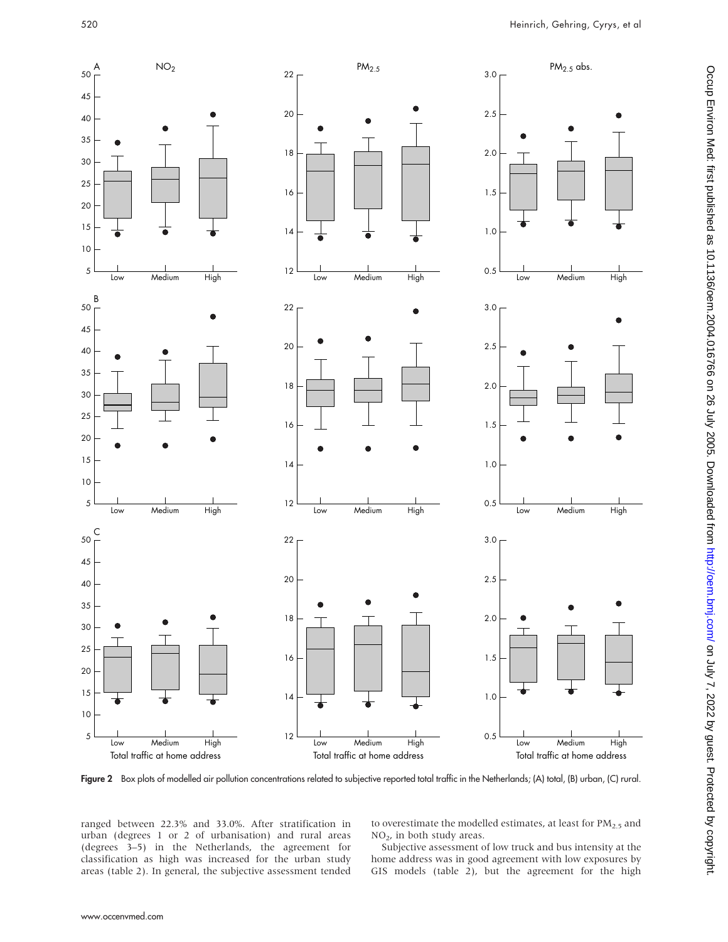

Figure 2 Box plots of modelled air pollution concentrations related to subjective reported total traffic in the Netherlands; (A) total, (B) urban, (C) rural.

ranged between 22.3% and 33.0%. After stratification in urban (degrees 1 or 2 of urbanisation) and rural areas (degrees 3–5) in the Netherlands, the agreement for classification as high was increased for the urban study areas (table 2). In general, the subjective assessment tended to overestimate the modelled estimates, at least for  $PM_{2.5}$  and NO2, in both study areas.

Subjective assessment of low truck and bus intensity at the home address was in good agreement with low exposures by GIS models (table 2), but the agreement for the high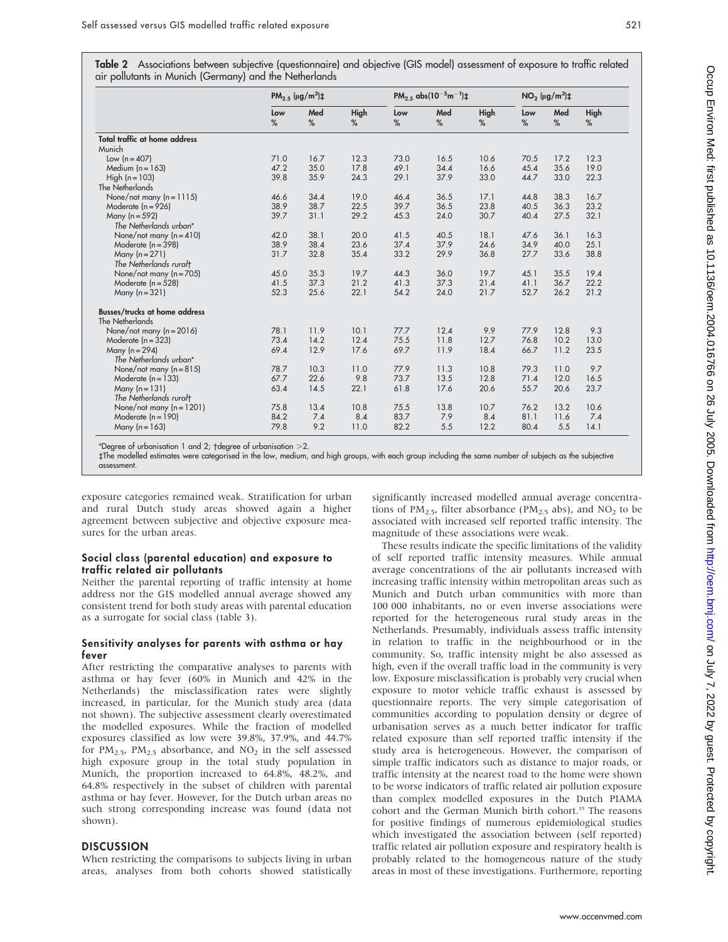|  | Table 2 Associations between subjective (questionnaire) and objective (GIS model) assessment of exposure to traffic related<br>air pollutants in Munich (Germany) and the Netherlands |  |  |  |
|--|---------------------------------------------------------------------------------------------------------------------------------------------------------------------------------------|--|--|--|
|  |                                                                                                                                                                                       |  |  |  |

|                                                         |          | PM <sub>2.5</sub> ( $\mu$ g/m <sup>3</sup> )‡ |           | PM <sub>2.5</sub> abs( $10^{-5}$ m <sup>-1</sup> ) $\pm$ |          |           | $NO2$ ( $\mu$ g/m <sup>3</sup> ) $\pm$ |          |                  |
|---------------------------------------------------------|----------|-----------------------------------------------|-----------|----------------------------------------------------------|----------|-----------|----------------------------------------|----------|------------------|
|                                                         | Low<br>% | Med<br>%                                      | High<br>% | Low<br>%                                                 | Med<br>% | High<br>% | Low<br>%                               | Med<br>% | <b>High</b><br>% |
| Total traffic at home address                           |          |                                               |           |                                                          |          |           |                                        |          |                  |
| Munich                                                  |          |                                               |           |                                                          |          |           |                                        |          |                  |
| Low $(n = 407)$                                         | 71.0     | 16.7                                          | 12.3      | 73.0                                                     | 16.5     | 10.6      | 70.5                                   | 17.2     | 12.3             |
| Medium $(n = 163)$                                      | 47.2     | 35.0                                          | 17.8      | 49.1                                                     | 34.4     | 16.6      | 45.4                                   | 35.6     | 19.0             |
| High $(n = 103)$                                        | 39.8     | 35.9                                          | 24.3      | 29.1                                                     | 37.9     | 33.0      | 44.7                                   | 33.0     | 22.3             |
| The Netherlands                                         |          |                                               |           |                                                          |          |           |                                        |          |                  |
| None/not many $(n = 1115)$                              | 46.6     | 34.4                                          | 19.0      | 46.4                                                     | 36.5     | 17.1      | 44.8                                   | 38.3     | 16.7             |
| Moderate $(n = 926)$                                    | 38.9     | 38.7                                          | 22.5      | 39.7                                                     | 36.5     | 23.8      | 40.5                                   | 36.3     | 23.2             |
| Many $(n = 592)$                                        | 39.7     | 31.1                                          | 29.2      | 45.3                                                     | 24.0     | 30.7      | 40.4                                   | 27.5     | 32.1             |
| The Netherlands urban*                                  |          |                                               |           |                                                          |          |           |                                        |          |                  |
| None/not many $(n=410)$                                 | 42.0     | 38.1                                          | 20.0      | 41.5                                                     | 40.5     | 18.1      | 47.6                                   | 36.1     | 16.3             |
| Moderate $(n = 398)$                                    | 38.9     | 38.4                                          | 23.6      | 37.4                                                     | 37.9     | 24.6      | 34.9                                   | 40.0     | 25.1             |
| Many $(n = 271)$                                        | 31.7     | 32.8                                          | 35.4      | 33.2                                                     | 29.9     | 36.8      | 27.7                                   | 33.6     | 38.8             |
| The Netherlands ruralt                                  |          |                                               |           |                                                          |          |           |                                        |          |                  |
| None/not many $(n = 705)$                               | 45.0     | 35.3                                          | 19.7      | 44.3                                                     | 36.0     | 19.7      | 45.1                                   | 35.5     | 19.4             |
| Moderate $(n = 528)$                                    | 41.5     | 37.3                                          | 21.2      | 41.3                                                     | 37.3     | 21.4      | 41.1                                   | 36.7     | 22.2             |
| Many $(n=321)$                                          | 52.3     | 25.6                                          | 22.1      | 54.2                                                     | 24.0     | 21.7      | 52.7                                   | 26.2     | 21.2             |
| <b>Busses/trucks at home address</b><br>The Netherlands |          |                                               |           |                                                          |          |           |                                        |          |                  |
| None/not many $(n = 2016)$                              | 78.1     | 11.9                                          | 10.1      | 77.7                                                     | 12.4     | 9.9       | 77.9                                   | 12.8     | 9.3              |
| Moderate $(n = 323)$                                    | 73.4     | 14.2                                          | 12.4      | 75.5                                                     | 11.8     | 12.7      | 76.8                                   | 10.2     | 13.0             |
| Many ( $n = 294$ )                                      | 69.4     | 12.9                                          | 17.6      | 69.7                                                     | 11.9     | 18.4      | 66.7                                   | 11.2     | 23.5             |
| The Netherlands urban*                                  |          |                                               |           |                                                          |          |           |                                        |          |                  |
| None/not many $(n=815)$                                 | 78.7     | 10.3                                          | 11.0      | 77.9                                                     | 11.3     | 10.8      | 79.3                                   | 11.0     | 9.7              |
| Moderate $(n = 133)$                                    | 67.7     | 22.6                                          | 9.8       | 73.7                                                     | 13.5     | 12.8      | 71.4                                   | 12.0     | 16.5             |
| Many $(n = 131)$                                        | 63.4     | 14.5                                          | 22.1      | 61.8                                                     | 17.6     | 20.6      | 55.7                                   | 20.6     | 23.7             |
| The Netherlands ruralt                                  |          |                                               |           |                                                          |          |           |                                        |          |                  |
| None/not many $(n = 1201)$                              | 75.8     | 13.4                                          | 10.8      | 75.5                                                     | 13.8     | 10.7      | 76.2                                   | 13.2     | 10.6             |
| Moderate $(n = 190)$                                    | 84.2     | 7.4                                           | 8.4       | 83.7                                                     | 7.9      | 8.4       | 81.1                                   | 11.6     | 7.4              |
| Many $(n = 163)$                                        | 79.8     | 9.2                                           | 11.0      | 82.2                                                     | 5.5      | 12.2      | 80.4                                   | 5.5      | 14.1             |
|                                                         |          |                                               |           |                                                          |          |           |                                        |          |                  |

\*Degree of urbanisation 1 and 2;  $\dagger$ degree of urbanisation  $>$ 2.

`The modelled estimates were categorised in the low, medium, and high groups, with each group including the same number of subjects as the subjective assessment.

exposure categories remained weak. Stratification for urban and rural Dutch study areas showed again a higher agreement between subjective and objective exposure measures for the urban areas.

#### Social class (parental education) and exposure to traffic related air pollutants

Neither the parental reporting of traffic intensity at home address nor the GIS modelled annual average showed any consistent trend for both study areas with parental education as a surrogate for social class (table 3).

#### Sensitivity analyses for parents with asthma or hay fever

After restricting the comparative analyses to parents with asthma or hay fever (60% in Munich and 42% in the Netherlands) the misclassification rates were slightly increased, in particular, for the Munich study area (data not shown). The subjective assessment clearly overestimated the modelled exposures. While the fraction of modelled exposures classified as low were 39.8%, 37.9%, and 44.7% for  $PM_{2.5}$ ,  $PM_{2.5}$  absorbance, and  $NO_2$  in the self assessed high exposure group in the total study population in Munich, the proportion increased to 64.8%, 48.2%, and 64.8% respectively in the subset of children with parental asthma or hay fever. However, for the Dutch urban areas no such strong corresponding increase was found (data not shown).

#### **DISCUSSION**

When restricting the comparisons to subjects living in urban areas, analyses from both cohorts showed statistically significantly increased modelled annual average concentrations of PM<sub>2.5</sub>, filter absorbance (PM<sub>2.5</sub> abs), and NO<sub>2</sub> to be associated with increased self reported traffic intensity. The magnitude of these associations were weak.

These results indicate the specific limitations of the validity of self reported traffic intensity measures. While annual average concentrations of the air pollutants increased with increasing traffic intensity within metropolitan areas such as Munich and Dutch urban communities with more than 100 000 inhabitants, no or even inverse associations were reported for the heterogeneous rural study areas in the Netherlands. Presumably, individuals assess traffic intensity in relation to traffic in the neighbourhood or in the community. So, traffic intensity might be also assessed as high, even if the overall traffic load in the community is very low. Exposure misclassification is probably very crucial when exposure to motor vehicle traffic exhaust is assessed by questionnaire reports. The very simple categorisation of communities according to population density or degree of urbanisation serves as a much better indicator for traffic related exposure than self reported traffic intensity if the study area is heterogeneous. However, the comparison of simple traffic indicators such as distance to major roads, or traffic intensity at the nearest road to the home were shown to be worse indicators of traffic related air pollution exposure than complex modelled exposures in the Dutch PIAMA cohort and the German Munich birth cohort.<sup>35</sup> The reasons for positive findings of numerous epidemiological studies which investigated the association between (self reported) traffic related air pollution exposure and respiratory health is probably related to the homogeneous nature of the study areas in most of these investigations. Furthermore, reporting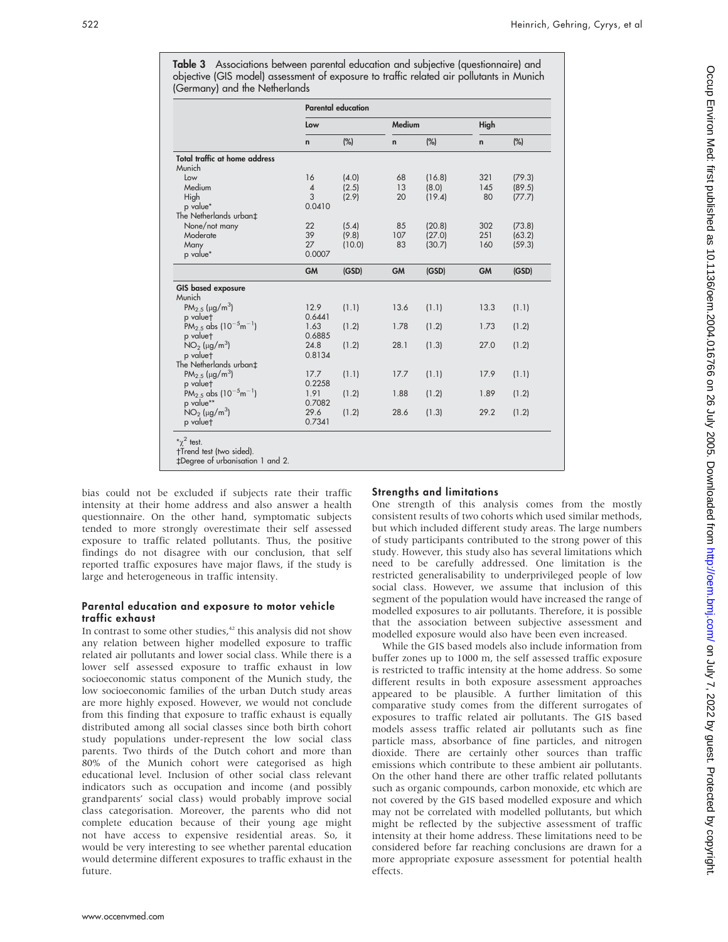|                                                           | <b>Parental education</b> |        |              |        |           |        |  |  |
|-----------------------------------------------------------|---------------------------|--------|--------------|--------|-----------|--------|--|--|
|                                                           | Low                       |        | Medium       |        | High      |        |  |  |
|                                                           | $\mathbf n$               | $(\%)$ | $\mathsf{n}$ | (%)    | n         | $(\%)$ |  |  |
| Total traffic at home address                             |                           |        |              |        |           |        |  |  |
| Munich                                                    |                           |        |              |        |           |        |  |  |
| Low                                                       | 16                        | (4.0)  | 68           | (16.8) | 321       | (79.3) |  |  |
| Medium                                                    | $\overline{4}$            | (2.5)  | 13           | (8.0)  | 145       | (89.5) |  |  |
| High                                                      | 3                         | (2.9)  | 20           | (19.4) | 80        | (77.7) |  |  |
| p value*                                                  | 0.0410                    |        |              |        |           |        |  |  |
| The Netherlands urban‡                                    |                           |        |              |        |           |        |  |  |
| None/not many                                             | 22                        | (5.4)  | 85           | (20.8) | 302       | (73.8) |  |  |
| Moderate                                                  | 39                        | (9.8)  | 107          | (27.0) | 251       | (63.2) |  |  |
| Many                                                      | 27                        | (10.0) | 83           | (30.7) | 160       | (59.3) |  |  |
| p value*                                                  | 0.0007                    |        |              |        |           |        |  |  |
|                                                           | <b>GM</b>                 | (GSD)  | <b>GM</b>    | (GSD)  | <b>GM</b> | (GSD)  |  |  |
| GIS based exposure                                        |                           |        |              |        |           |        |  |  |
| Munich                                                    |                           |        |              |        |           |        |  |  |
| PM <sub>2.5</sub> ( $\mu$ g/m <sup>3</sup> )              | 12.9                      | (1.1)  | 13.6         | (1.1)  | 13.3      | (1.1)  |  |  |
| p value†                                                  | 0.6441                    |        |              |        |           |        |  |  |
| PM <sub>2.5</sub> abs (10 <sup>-5</sup> m <sup>-1</sup> ) | 1.63                      | (1.2)  | 1.78         | (1.2)  | 1.73      | (1.2)  |  |  |
| p valuet                                                  | 0.6885                    |        |              |        |           |        |  |  |
| $NO_2$ (µg/m <sup>3</sup> )                               | 24.8                      | (1.2)  | 28.1         | (1.3)  | 27.0      | (1.2)  |  |  |
| p valuet                                                  | 0.8134                    |        |              |        |           |        |  |  |
| The Netherlands urban‡                                    |                           |        |              |        |           |        |  |  |
| $PM_{2.5}$ (µg/m <sup>3</sup> )                           | 17.7                      | (1.1)  | 17.7         | (1.1)  | 17.9      | (1.1)  |  |  |
| p valuet                                                  | 0.2258                    |        |              |        |           |        |  |  |
| PM <sub>2.5</sub> abs $(10^{-5}m^{-1})$                   | 1.91                      | (1.2)  | 1.88         | (1.2)  | 1.89      | (1.2)  |  |  |
| p value**                                                 | 0.7082                    |        |              |        |           |        |  |  |
| $NO2$ (µg/m <sup>3</sup> )                                | 29.6                      | (1.2)  | 28.6         | (1.3)  | 29.2      | (1.2)  |  |  |
| p valuet                                                  | 0.7341                    |        |              |        |           |        |  |  |

Table 3 Associations between parental education and subjective (questionnaire) and objective (GIS model) assessment of exposure to traffic related air pollutants in Munich

bias could not be excluded if subjects rate their traffic intensity at their home address and also answer a health questionnaire. On the other hand, symptomatic subjects tended to more strongly overestimate their self assessed exposure to traffic related pollutants. Thus, the positive findings do not disagree with our conclusion, that self reported traffic exposures have major flaws, if the study is large and heterogeneous in traffic intensity.

### Parental education and exposure to motor vehicle traffic exhaust

In contrast to some other studies, $42$  this analysis did not show any relation between higher modelled exposure to traffic related air pollutants and lower social class. While there is a lower self assessed exposure to traffic exhaust in low socioeconomic status component of the Munich study, the low socioeconomic families of the urban Dutch study areas are more highly exposed. However, we would not conclude from this finding that exposure to traffic exhaust is equally distributed among all social classes since both birth cohort study populations under-represent the low social class parents. Two thirds of the Dutch cohort and more than 80% of the Munich cohort were categorised as high educational level. Inclusion of other social class relevant indicators such as occupation and income (and possibly grandparents' social class) would probably improve social class categorisation. Moreover, the parents who did not complete education because of their young age might not have access to expensive residential areas. So, it would be very interesting to see whether parental education would determine different exposures to traffic exhaust in the future.

# Strengths and limitations

One strength of this analysis comes from the mostly consistent results of two cohorts which used similar methods, but which included different study areas. The large numbers of study participants contributed to the strong power of this study. However, this study also has several limitations which need to be carefully addressed. One limitation is the restricted generalisability to underprivileged people of low social class. However, we assume that inclusion of this segment of the population would have increased the range of modelled exposures to air pollutants. Therefore, it is possible that the association between subjective assessment and modelled exposure would also have been even increased.

While the GIS based models also include information from buffer zones up to 1000 m, the self assessed traffic exposure is restricted to traffic intensity at the home address. So some different results in both exposure assessment approaches appeared to be plausible. A further limitation of this comparative study comes from the different surrogates of exposures to traffic related air pollutants. The GIS based models assess traffic related air pollutants such as fine particle mass, absorbance of fine particles, and nitrogen dioxide. There are certainly other sources than traffic emissions which contribute to these ambient air pollutants. On the other hand there are other traffic related pollutants such as organic compounds, carbon monoxide, etc which are not covered by the GIS based modelled exposure and which may not be correlated with modelled pollutants, but which might be reflected by the subjective assessment of traffic intensity at their home address. These limitations need to be considered before far reaching conclusions are drawn for a more appropriate exposure assessment for potential health effects.